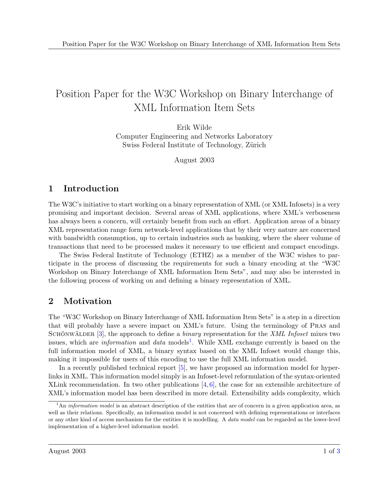# Position Paper for the W3C Workshop on Binary Interchange of XML Information Item Sets

Erik Wilde Computer Engineering and Networks Laboratory Swiss Federal Institute of Technology, Zürich

August 2003

# 1 Introduction

The W3C's initiative to start working on a binary representation of XML (or XML Infosets) is a very promising and important decision. Several areas of XML applications, where XML's verboseness has always been a concern, will certainly benefit from such an effort. Application areas of a binary XML representation range form network-level applications that by their very nature are concerned with bandwidth consumption, up to certain industries such as banking, where the sheer volume of transactions that need to be processed makes it necessary to use efficient and compact encodings.

The Swiss Federal Institute of Technology (ETHZ) as a member of the W3C wishes to participate in the process of discussing the requirements for such a binary encoding at the "W3C Workshop on Binary Interchange of XML Information Item Sets", and may also be interested in the following process of working on and defining a binary representation of XML.

# 2 Motivation

The "W3C Workshop on Binary Interchange of XML Information Item Sets" is a step in a direction that will probably have a severe impact on XML's future. Using the terminology of Pras and SCHÖNWÄLDER [\[3\]](#page-2-0), the approach to define a *binary* representation for the *XML Infoset* mixes two issues, which are *information* and *data* models<sup>1</sup>. While XML exchange currently is based on the full information model of XML, a binary syntax based on the XML Infoset would change this, making it impossible for users of this encoding to use the full XML information model.

In a recently published technical report [\[5\]](#page-2-0), we have proposed an information model for hyperlinks in XML. This information model simply is an Infoset-level reformulation of the syntax-oriented XLink recommendation. In two other publications  $[4, 6]$  $[4, 6]$  $[4, 6]$ , the case for an extensible architecture of XML's information model has been described in more detail. Extensibility adds complexity, which

<sup>&</sup>lt;sup>1</sup>An *information model* is an abstract description of the entities that are of concern in a given application area, as well as their relations. Specifically, an information model is not concerned with defining representations or interfaces or any other kind of access mechanism for the entities it is modelling. A *data model* can be regarded as the lower-level implementation of a higher-level information model.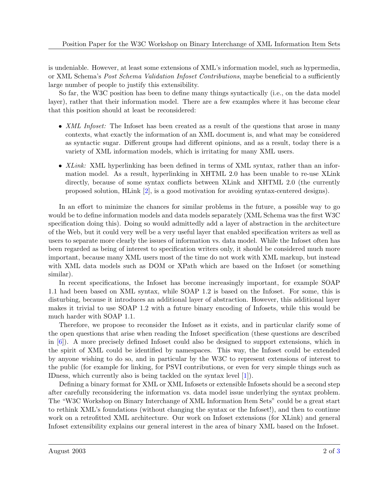is undeniable. However, at least some extensions of XML's information model, such as hypermedia, or XML Schema's Post Schema Validation Infoset Contributions, maybe beneficial to a sufficiently large number of people to justify this extensibility.

So far, the W3C position has been to define many things syntactically (i.e., on the data model layer), rather that their information model. There are a few examples where it has become clear that this position should at least be reconsidered:

- *XML Infoset:* The Infoset has been created as a result of the questions that arose in many contexts, what exactly the information of an XML document is, and what may be considered as syntactic sugar. Different groups had different opinions, and as a result, today there is a variety of XML information models, which is irritating for many XML users.
- XLink: XML hyperlinking has been defined in terms of XML syntax, rather than an information model. As a result, hyperlinking in XHTML 2.0 has been unable to re-use XLink directly, because of some syntax conflicts between XLink and XHTML 2.0 (the currently proposed solution, HLink [\[2\]](#page-2-0), is a good motivation for avoiding syntax-centered designs).

In an effort to minimize the chances for similar problems in the future, a possible way to go would be to define information models and data models separately (XML Schema was the first W3C specification doing this). Doing so would admittedly add a layer of abstraction in the architecture of the Web, but it could very well be a very useful layer that enabled specification writers as well as users to separate more clearly the issues of information vs. data model. While the Infoset often has been regarded as being of interest to specification writers only, it should be considered much more important, because many XML users most of the time do not work with XML markup, but instead with XML data models such as DOM or XPath which are based on the Infoset (or something similar).

In recent specifications, the Infoset has become increasingly important, for example SOAP 1.1 had been based on XML syntax, while SOAP 1.2 is based on the Infoset. For some, this is disturbing, because it introduces an additional layer of abstraction. However, this additional layer makes it trivial to use SOAP 1.2 with a future binary encoding of Infosets, while this would be much harder with SOAP 1.1.

Therefore, we propose to reconsider the Infoset as it exists, and in particular clarify some of the open questions that arise when reading the Infoset specification (these questions are described in [\[6\]](#page-2-0)). A more precisely defined Infoset could also be designed to support extensions, which in the spirit of XML could be identified by namespaces. This way, the Infoset could be extended by anyone wishing to do so, and in particular by the W3C to represent extensions of interest to the public (for example for linking, for PSVI contributions, or even for very simple things such as IDness, which currently also is being tackled on the syntax level [\[1\]](#page-2-0)).

Defining a binary format for XML or XML Infosets or extensible Infosets should be a second step after carefully reconsidering the information vs. data model issue underlying the syntax problem. The "W3C Workshop on Binary Interchange of XML Information Item Sets" could be a great start to rethink XML's foundations (without changing the syntax or the Infoset!), and then to continue work on a retrofitted XML architecture. Our work on Infoset extensions (for XLink) and general Infoset extensibility explains our general interest in the area of binary XML based on the Infoset.